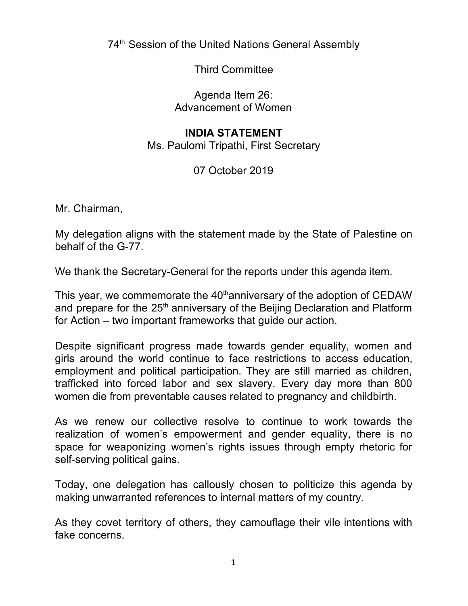74<sup>th</sup> Session of the United Nations General Assembly

Third Committee

Agenda Item 26: Advancement of Women

## **INDIA STATEMENT**

Ms. Paulomi Tripathi, First Secretary

07 October 2019

Mr. Chairman,

My delegation aligns with the statement made by the State of Palestine on behalf of the G-77.

We thank the Secretary-General for the reports under this agenda item.

This year, we commemorate the 40<sup>th</sup>anniversary of the adoption of CEDAW and prepare for the 25<sup>th</sup> anniversary of the Beijing Declaration and Platform for Action – two important frameworks that guide our action.

Despite significant progress made towards gender equality, women and girls around the world continue to face restrictions to access education, employment and political participation. They are still married as children, trafficked into forced labor and sex slavery. Every day more than 800 women die from preventable causes related to pregnancy and childbirth.

As we renew our collective resolve to continue to work towards the realization of women's empowerment and gender equality, there is no space for weaponizing women's rights issues through empty rhetoric for self-serving political gains.

Today, one delegation has callously chosen to politicize this agenda by making unwarranted references to internal matters of my country.

As they covet territory of others, they camouflage their vile intentions with fake concerns.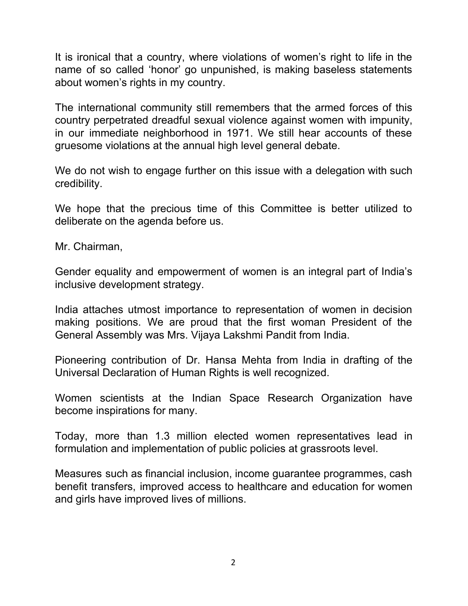It is ironical that a country, where violations of women's right to life in the name of so called 'honor' go unpunished, is making baseless statements about women's rights in my country.

The international community still remembers that the armed forces of this country perpetrated dreadful sexual violence against women with impunity, in our immediate neighborhood in 1971. We still hear accounts of these gruesome violations at the annual high level general debate.

We do not wish to engage further on this issue with a delegation with such credibility.

We hope that the precious time of this Committee is better utilized to deliberate on the agenda before us.

Mr. Chairman,

Gender equality and empowerment of women is an integral part of India's inclusive development strategy.

India attaches utmost importance to representation of women in decision making positions. We are proud that the first woman President of the General Assembly was Mrs. Vijaya Lakshmi Pandit from India.

Pioneering contribution of Dr. Hansa Mehta from India in drafting of the Universal Declaration of Human Rights is well recognized.

Women scientists at the Indian Space Research Organization have become inspirations for many.

Today, more than 1.3 million elected women representatives lead in formulation and implementation of public policies at grassroots level.

Measures such as financial inclusion, income guarantee programmes, cash benefit transfers, improved access to healthcare and education for women and girls have improved lives of millions.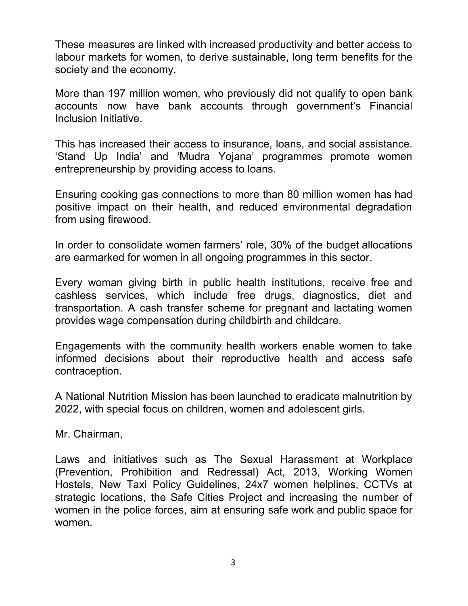These measures are linked with increased productivity and better access to labour markets for women, to derive sustainable, long term benefits for the society and the economy.

More than 197 million women, who previously did not qualify to open bank accounts now have bank accounts through government's Financial Inclusion Initiative.

This has increased their access to insurance, loans, and social assistance. 'Stand Up India' and 'Mudra Yojana' programmes promote women entrepreneurship by providing access to loans.

Ensuring cooking gas connections to more than 80 million women has had positive impact on their health, and reduced environmental degradation from using firewood.

In order to consolidate women farmers' role, 30% of the budget allocations are earmarked for women in all ongoing programmes in this sector.

Every woman giving birth in public health institutions, receive free and cashless services, which include free drugs, diagnostics, diet and transportation. A cash transfer scheme for pregnant and lactating women provides wage compensation during childbirth and childcare.

Engagements with the community health workers enable women to take informed decisions about their reproductive health and access safe contraception.

A National Nutrition Mission has been launched to eradicate malnutrition by 2022, with special focus on children, women and adolescent girls.

Mr. Chairman,

Laws and initiatives such as The Sexual Harassment at Workplace (Prevention, Prohibition and Redressal) Act, 2013, Working Women Hostels, New Taxi Policy Guidelines, 24x7 women helplines, CCTVs at strategic locations, the Safe Cities Project and increasing the number of women in the police forces, aim at ensuring safe work and public space for women.